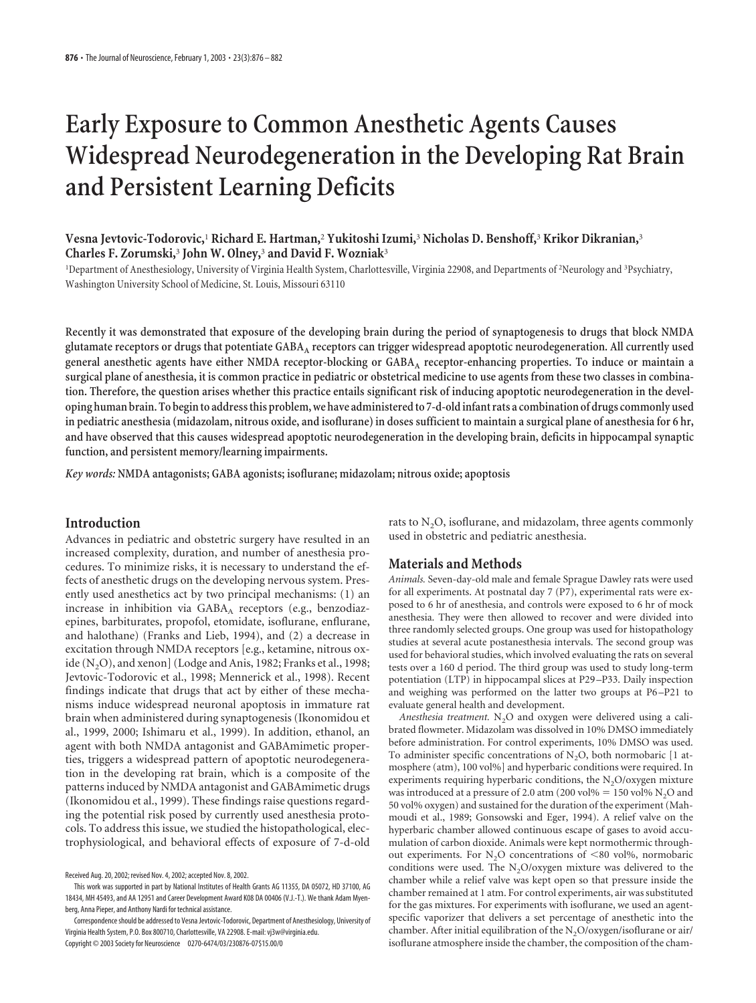# **Early Exposure to Common Anesthetic Agents Causes Widespread Neurodegeneration in the Developing Rat Brain and Persistent Learning Deficits**

**Vesna Jevtovic-Todorovic,**<sup>1</sup> **Richard E. Hartman,**<sup>2</sup> **Yukitoshi Izumi,**<sup>3</sup> **Nicholas D. Benshoff,**<sup>3</sup> **Krikor Dikranian,**<sup>3</sup> **Charles F. Zorumski,**<sup>3</sup> **John W. Olney,**<sup>3</sup> **and David F. Wozniak**<sup>3</sup>

<sup>1</sup>Department of Anesthesiology, University of Virginia Health System, Charlottesville, Virginia 22908, and Departments of <sup>2</sup>Neurology and <sup>3</sup>Psychiatry, Washington University School of Medicine, St. Louis, Missouri 63110

**Recently it was demonstrated that exposure of the developing brain during the period of synaptogenesis to drugs that block NMDA glutamate receptors or drugs that potentiate GABAA receptors can trigger widespread apoptotic neurodegeneration. All currently used general anesthetic agents have either NMDA receptor-blocking or GABAA receptor-enhancing properties. To induce or maintain a surgical plane of anesthesia, it is common practice in pediatric or obstetrical medicine to use agents from these two classes in combination. Therefore, the question arises whether this practice entails significant risk of inducing apoptotic neurodegeneration in the developing human brain. To begin to address this problem, we have administered to 7-d-old infant rats a combination of drugs commonly used in pediatric anesthesia (midazolam, nitrous oxide, and isoflurane) in doses sufficient to maintain a surgical plane of anesthesia for 6 hr, and have observed that this causes widespread apoptotic neurodegeneration in the developing brain, deficits in hippocampal synaptic function, and persistent memory/learning impairments.**

*Key words:* **NMDA antagonists; GABA agonists; isoflurane; midazolam; nitrous oxide; apoptosis**

## **Introduction**

Advances in pediatric and obstetric surgery have resulted in an increased complexity, duration, and number of anesthesia procedures. To minimize risks, it is necessary to understand the effects of anesthetic drugs on the developing nervous system. Presently used anesthetics act by two principal mechanisms: (1) an increase in inhibition via GABAA receptors (e.g., benzodiazepines, barbiturates, propofol, etomidate, isoflurane, enflurane, and halothane) (Franks and Lieb, 1994), and (2) a decrease in excitation through NMDA receptors [e.g., ketamine, nitrous oxide  $(N, O)$ , and xenon] (Lodge and Anis, 1982; Franks et al., 1998; Jevtovic-Todorovic et al., 1998; Mennerick et al., 1998). Recent findings indicate that drugs that act by either of these mechanisms induce widespread neuronal apoptosis in immature rat brain when administered during synaptogenesis (Ikonomidou et al., 1999, 2000; Ishimaru et al., 1999). In addition, ethanol, an agent with both NMDA antagonist and GABAmimetic properties, triggers a widespread pattern of apoptotic neurodegeneration in the developing rat brain, which is a composite of the patterns induced by NMDA antagonist and GABAmimetic drugs (Ikonomidou et al., 1999). These findings raise questions regarding the potential risk posed by currently used anesthesia protocols. To address this issue, we studied the histopathological, electrophysiological, and behavioral effects of exposure of 7-d-old

rats to  $N<sub>2</sub>O$ , isoflurane, and midazolam, three agents commonly used in obstetric and pediatric anesthesia.

### **Materials and Methods**

*Animals.* Seven-day-old male and female Sprague Dawley rats were used for all experiments. At postnatal day 7 (P7), experimental rats were exposed to 6 hr of anesthesia, and controls were exposed to 6 hr of mock anesthesia. They were then allowed to recover and were divided into three randomly selected groups. One group was used for histopathology studies at several acute postanesthesia intervals. The second group was used for behavioral studies, which involved evaluating the rats on several tests over a 160 d period. The third group was used to study long-term potentiation (LTP) in hippocampal slices at P29 –P33. Daily inspection and weighing was performed on the latter two groups at P6 –P21 to evaluate general health and development.

Anesthesia treatment. N<sub>2</sub>O and oxygen were delivered using a calibrated flowmeter. Midazolam was dissolved in 10% DMSO immediately before administration. For control experiments, 10% DMSO was used. To administer specific concentrations of  $N_2O$ , both normobaric [1 atmosphere (atm), 100 vol%] and hyperbaric conditions were required. In experiments requiring hyperbaric conditions, the N<sub>2</sub>O/oxygen mixture was introduced at a pressure of 2.0 atm (200 vol $\% = 150$  vol $\%$  N<sub>2</sub>O and 50 vol% oxygen) and sustained for the duration of the experiment (Mahmoudi et al., 1989; Gonsowski and Eger, 1994). A relief valve on the hyperbaric chamber allowed continuous escape of gases to avoid accumulation of carbon dioxide. Animals were kept normothermic throughout experiments. For  $N_2O$  concentrations of  $\leq 80$  vol%, normobaric conditions were used. The  $N_2O$ /oxygen mixture was delivered to the chamber while a relief valve was kept open so that pressure inside the chamber remained at 1 atm. For control experiments, air was substituted for the gas mixtures. For experiments with isoflurane, we used an agentspecific vaporizer that delivers a set percentage of anesthetic into the chamber. After initial equilibration of the  $N_2O/oxygen/isoflurane$  or air/ isoflurane atmosphere inside the chamber, the composition of the cham-

Received Aug. 20, 2002; revised Nov. 4, 2002; accepted Nov. 8, 2002.

This work was supported in part by National Institutes of Health Grants AG 11355, DA 05072, HD 37100, AG 18434, MH 45493, and AA 12951 and Career Development Award K08 DA 00406 (V.J.-T.). We thank Adam Myenberg, Anna Pieper, and Anthony Nardi for technical assistance.

Correspondence should be addressed to Vesna Jevtovic-Todorovic, Department of Anesthesiology, University of Virginia Health System, P.O. Box 800710, Charlottesville, VA 22908. E-mail: vj3w@virginia.edu. Copyright © 2003 Society for Neuroscience 0270-6474/03/230876-07\$15.00/0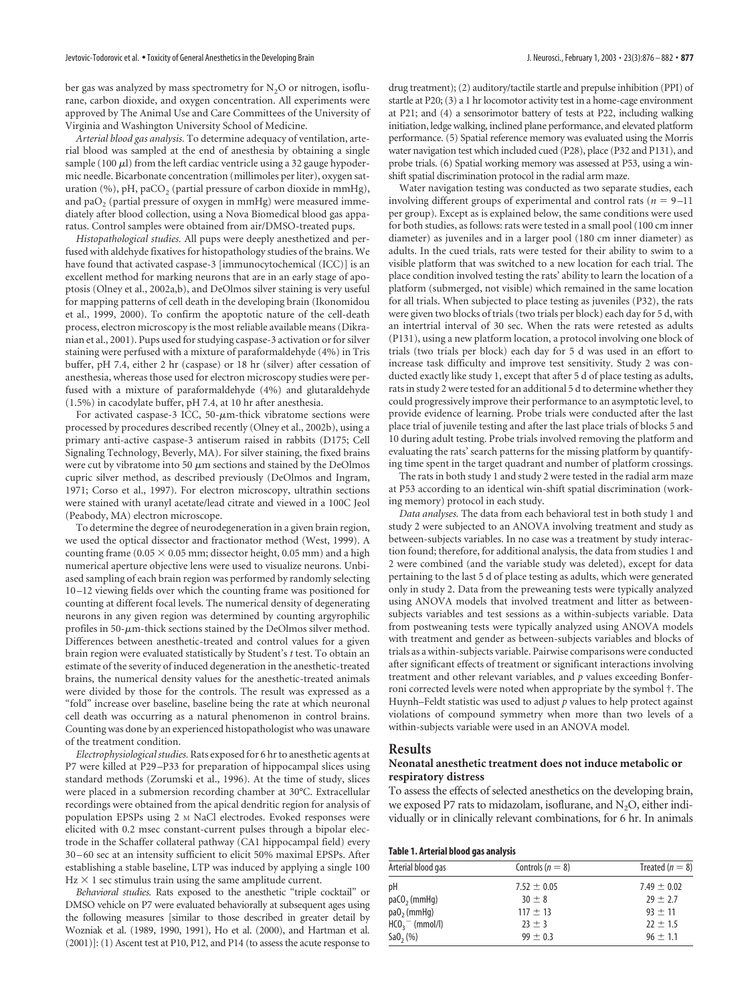ber gas was analyzed by mass spectrometry for  $N_2O$  or nitrogen, isoflurane, carbon dioxide, and oxygen concentration. All experiments were approved by The Animal Use and Care Committees of the University of Virginia and Washington University School of Medicine.

*Arterial blood gas analysis.* To determine adequacy of ventilation, arterial blood was sampled at the end of anesthesia by obtaining a single sample (100  $\mu$ ) from the left cardiac ventricle using a 32 gauge hypodermic needle. Bicarbonate concentration (millimoles per liter), oxygen saturation (%), pH, paCO<sub>2</sub> (partial pressure of carbon dioxide in mmHg), and  $paO<sub>2</sub>$  (partial pressure of oxygen in mmHg) were measured immediately after blood collection, using a Nova Biomedical blood gas apparatus. Control samples were obtained from air/DMSO-treated pups.

*Histopathological studies.* All pups were deeply anesthetized and perfused with aldehyde fixatives for histopathology studies of the brains. We have found that activated caspase-3 [immunocytochemical (ICC)] is an excellent method for marking neurons that are in an early stage of apoptosis (Olney et al., 2002a,b), and DeOlmos silver staining is very useful for mapping patterns of cell death in the developing brain (Ikonomidou et al., 1999, 2000). To confirm the apoptotic nature of the cell-death process, electron microscopy is the most reliable available means (Dikranian et al., 2001). Pups used for studying caspase-3 activation or for silver staining were perfused with a mixture of paraformaldehyde (4%) in Tris buffer, pH 7.4, either 2 hr (caspase) or 18 hr (silver) after cessation of anesthesia, whereas those used for electron microscopy studies were perfused with a mixture of paraformaldehyde (4%) and glutaraldehyde (1.5%) in cacodylate buffer, pH 7.4, at 10 hr after anesthesia.

For activated caspase-3 ICC, 50- $\mu$ m-thick vibratome sections were processed by procedures described recently (Olney et al., 2002b), using a primary anti-active caspase-3 antiserum raised in rabbits (D175; Cell Signaling Technology, Beverly, MA). For silver staining, the fixed brains were cut by vibratome into 50  $\mu$ m sections and stained by the DeOlmos cupric silver method, as described previously (DeOlmos and Ingram, 1971; Corso et al., 1997). For electron microscopy, ultrathin sections were stained with uranyl acetate/lead citrate and viewed in a 100C Jeol (Peabody, MA) electron microscope.

To determine the degree of neurodegeneration in a given brain region, we used the optical dissector and fractionator method (West, 1999). A counting frame (0.05  $\times$  0.05 mm; dissector height, 0.05 mm) and a high numerical aperture objective lens were used to visualize neurons. Unbiased sampling of each brain region was performed by randomly selecting 10–12 viewing fields over which the counting frame was positioned for counting at different focal levels. The numerical density of degenerating neurons in any given region was determined by counting argyrophilic profiles in 50- $\mu$ m-thick sections stained by the DeOlmos silver method. Differences between anesthetic-treated and control values for a given brain region were evaluated statistically by Student's *t* test. To obtain an estimate of the severity of induced degeneration in the anesthetic-treated brains, the numerical density values for the anesthetic-treated animals were divided by those for the controls. The result was expressed as a "fold" increase over baseline, baseline being the rate at which neuronal cell death was occurring as a natural phenomenon in control brains. Counting was done by an experienced histopathologist who was unaware of the treatment condition.

*Electrophysiological studies.* Rats exposed for 6 hr to anesthetic agents at P7 were killed at P29–P33 for preparation of hippocampal slices using standard methods (Zorumski et al., 1996). At the time of study, slices were placed in a submersion recording chamber at 30°C. Extracellular recordings were obtained from the apical dendritic region for analysis of population EPSPs using 2 M NaCl electrodes. Evoked responses were elicited with 0.2 msec constant-current pulses through a bipolar electrode in the Schaffer collateral pathway (CA1 hippocampal field) every 30–60 sec at an intensity sufficient to elicit 50% maximal EPSPs. After establishing a stable baseline, LTP was induced by applying a single 100  $Hz \times 1$  sec stimulus train using the same amplitude current.

*Behavioral studies.* Rats exposed to the anesthetic "triple cocktail" or DMSO vehicle on P7 were evaluated behaviorally at subsequent ages using the following measures [similar to those described in greater detail by Wozniak et al. (1989, 1990, 1991), Ho et al. (2000), and Hartman et al. (2001)]: (1) Ascent test at P10, P12, and P14 (to assess the acute response to

drug treatment); (2) auditory/tactile startle and prepulse inhibition (PPI) of startle at P20; (3) a 1 hrlocomotor activity test in a home-cage environment at P21; and (4) a sensorimotor battery of tests at P22, including walking initiation, ledge walking, inclined plane performance, and elevated platform performance. (5) Spatial reference memory was evaluated using the Morris water navigation test which included cued (P28), place (P32 and P131), and probe trials. (6) Spatial working memory was assessed at P53, using a winshift spatial discrimination protocol in the radial arm maze.

Water navigation testing was conducted as two separate studies, each involving different groups of experimental and control rats ( $n = 9-11$ ) per group). Except as is explained below, the same conditions were used for both studies, as follows: rats were tested in a small pool (100 cm inner diameter) as juveniles and in a larger pool (180 cm inner diameter) as adults. In the cued trials, rats were tested for their ability to swim to a visible platform that was switched to a new location for each trial. The place condition involved testing the rats' ability to learn the location of a platform (submerged, not visible) which remained in the same location for all trials. When subjected to place testing as juveniles (P32), the rats were given two blocks of trials (two trials per block) each day for 5 d, with an intertrial interval of 30 sec. When the rats were retested as adults (P131), using a new platform location, a protocol involving one block of trials (two trials per block) each day for 5 d was used in an effort to increase task difficulty and improve test sensitivity. Study 2 was conducted exactly like study 1, except that after 5 d of place testing as adults, rats in study 2 were tested for an additional 5 d to determine whether they could progressively improve their performance to an asymptotic level, to provide evidence of learning. Probe trials were conducted after the last place trial of juvenile testing and after the last place trials of blocks 5 and 10 during adult testing. Probe trials involved removing the platform and evaluating the rats' search patterns for the missing platform by quantifying time spent in the target quadrant and number of platform crossings.

The rats in both study 1 and study 2 were tested in the radial arm maze at P53 according to an identical win-shift spatial discrimination (working memory) protocol in each study.

*Data analyses.* The data from each behavioral test in both study 1 and study 2 were subjected to an ANOVA involving treatment and study as between-subjects variables. In no case was a treatment by study interaction found; therefore, for additional analysis, the data from studies 1 and 2 were combined (and the variable study was deleted), except for data pertaining to the last 5 d of place testing as adults, which were generated only in study 2. Data from the preweaning tests were typically analyzed using ANOVA models that involved treatment and litter as betweensubjects variables and test sessions as a within-subjects variable. Data from postweaning tests were typically analyzed using ANOVA models with treatment and gender as between-subjects variables and blocks of trials as a within-subjects variable. Pairwise comparisons were conducted after significant effects of treatment or significant interactions involving treatment and other relevant variables, and *p* values exceeding Bonferroni corrected levels were noted when appropriate by the symbol †. The Huynh–Feldt statistic was used to adjust *p* values to help protect against violations of compound symmetry when more than two levels of a within-subjects variable were used in an ANOVA model.

#### **Results**

#### **Neonatal anesthetic treatment does not induce metabolic or respiratory distress**

To assess the effects of selected anesthetics on the developing brain, we exposed P7 rats to midazolam, isoflurane, and  $N_2O$ , either individually or in clinically relevant combinations, for 6 hr. In animals

|  |  | Table 1. Arterial blood gas analysis |
|--|--|--------------------------------------|
|  |  |                                      |
|  |  |                                      |

| Arterial blood gas         | Controls ( $n = 8$ ) | Treated $(n = 8)$ |
|----------------------------|----------------------|-------------------|
| рH                         | $7.52 \pm 0.05$      | 7.49 $\pm$ 0.02   |
| $paC0$ <sub>2</sub> (mmHq) | $30 \pm 8$           | $79 + 7.7$        |
| $pa0$ <sub>2</sub> (mmHq)  | $117 \pm 13$         | $93 + 11$         |
| $HCO3$ (mmol/l)            | $23 \pm 3$           | $22 \pm 1.5$      |
| Sa0, (%)                   | $99 \pm 0.3$         | $96 \pm 1.1$      |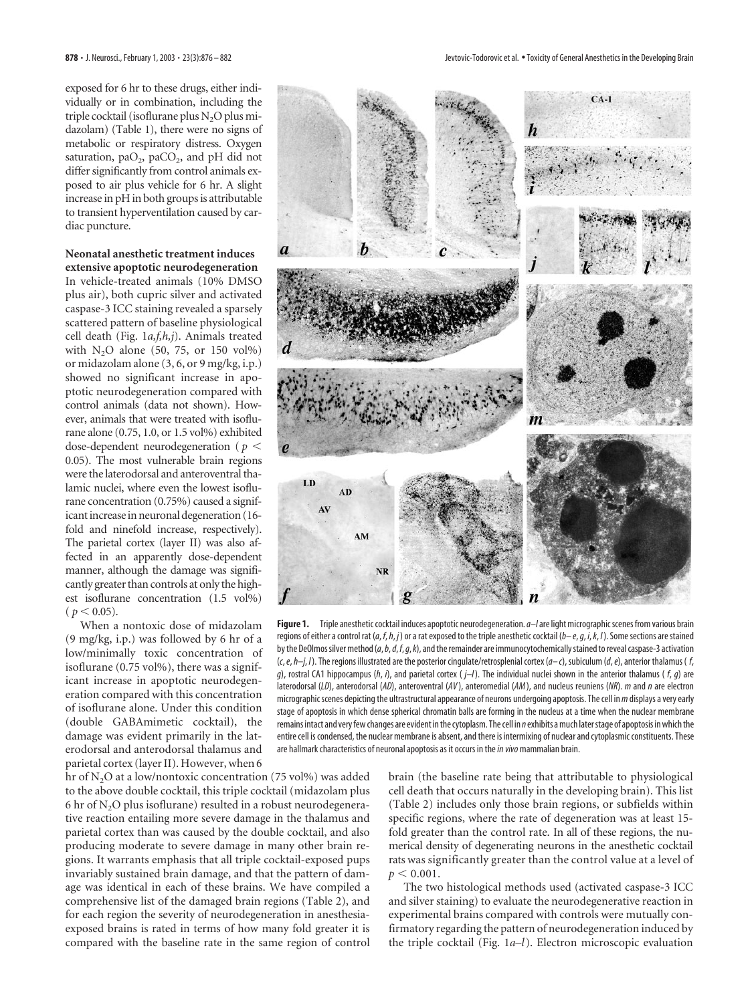exposed for 6 hr to these drugs, either individually or in combination, including the triple cocktail (isoflurane plus  $N<sub>2</sub>O$  plus midazolam) (Table 1), there were no signs of metabolic or respiratory distress. Oxygen saturation,  $paO<sub>2</sub>$ ,  $paCO<sub>2</sub>$ , and  $pH$  did not differ significantly from control animals exposed to air plus vehicle for 6 hr. A slight increase in pH in both groups is attributable to transient hyperventilation caused by cardiac puncture.

#### **Neonatal anesthetic treatment induces extensive apoptotic neurodegeneration**

In vehicle-treated animals (10% DMSO plus air), both cupric silver and activated caspase-3 ICC staining revealed a sparsely scattered pattern of baseline physiological cell death (Fig. 1*a,f,h,j*). Animals treated with  $N_2O$  alone (50, 75, or 150 vol%) or midazolam alone (3, 6, or 9 mg/kg, i.p.) showed no significant increase in apoptotic neurodegeneration compared with control animals (data not shown). However, animals that were treated with isoflurane alone (0.75, 1.0, or 1.5 vol%) exhibited dose-dependent neurodegeneration ( $p <$ 0.05). The most vulnerable brain regions were the laterodorsal and anteroventral thalamic nuclei, where even the lowest isoflurane concentration (0.75%) caused a significant increase in neuronal degeneration (16 fold and ninefold increase, respectively). The parietal cortex (layer II) was also affected in an apparently dose-dependent manner, although the damage was significantly greater than controls at only the highest isoflurane concentration (1.5 vol%)  $(p < 0.05)$ .

When a nontoxic dose of midazolam (9 mg/kg, i.p.) was followed by 6 hr of a low/minimally toxic concentration of isoflurane (0.75 vol%), there was a significant increase in apoptotic neurodegeneration compared with this concentration of isoflurane alone. Under this condition (double GABAmimetic cocktail), the damage was evident primarily in the laterodorsal and anterodorsal thalamus and parietal cortex (layer II). However, when 6

hr of N<sub>2</sub>O at a low/nontoxic concentration (75 vol%) was added to the above double cocktail, this triple cocktail (midazolam plus 6 hr of  $N_2O$  plus isoflurane) resulted in a robust neurodegenerative reaction entailing more severe damage in the thalamus and parietal cortex than was caused by the double cocktail, and also producing moderate to severe damage in many other brain regions. It warrants emphasis that all triple cocktail-exposed pups invariably sustained brain damage, and that the pattern of damage was identical in each of these brains. We have compiled a comprehensive list of the damaged brain regions (Table 2), and for each region the severity of neurodegeneration in anesthesiaexposed brains is rated in terms of how many fold greater it is compared with the baseline rate in the same region of control



**Figure 1.** Triple anesthetic cocktail induces apoptotic neurodegeneration.*a–l*are light micrographic scenes from various brain regions of either a control rat (*a*, *f*,*h*, *j*) or a rat exposed to the triple anesthetic cocktail (*b– e*,*g*, *i*,*k*, *l*). Some sections are stained by the DeOlmos silver method (*a*,*b*,*d*, *f*,*g*,*k*), and the remainder are immunocytochemically stained to reveal caspase-3 activation (*c*,*e*,*h–j*, *l*). The regions illustrated are the posterior cingulate/retrosplenial cortex (*a– c*), subiculum (*d*,*e*), anterior thalamus ( *f*, *g*), rostral CA1 hippocampus (*h*, *i*), and parietal cortex ( *j–l*). The individual nuclei shown in the anterior thalamus ( *f*, *g*) are laterodorsal (*LD*), anterodorsal (*AD*), anteroventral (*AV* ), anteromedial (*AM*), and nucleus reuniens (*NR*). *m* and *n* are electron micrographic scenes depicting the ultrastructural appearance of neurons undergoing apoptosis. The cell in*m*displays a very early stage of apoptosis in which dense spherical chromatin balls are forming in the nucleus at a time when the nuclear membrane remains intact and very few changes are evident in the cytoplasm. The cell in *n*exhibits a much later stage of apoptosis in which the entire cell is condensed, the nuclear membrane is absent, and there is intermixing of nuclear and cytoplasmic constituents. These are hallmark characteristics of neuronal apoptosis as it occurs in the*in vivo*mammalian brain.

brain (the baseline rate being that attributable to physiological cell death that occurs naturally in the developing brain). This list (Table 2) includes only those brain regions, or subfields within specific regions, where the rate of degeneration was at least 15 fold greater than the control rate. In all of these regions, the numerical density of degenerating neurons in the anesthetic cocktail rats was significantly greater than the control value at a level of  $p < 0.001$ .

The two histological methods used (activated caspase-3 ICC and silver staining) to evaluate the neurodegenerative reaction in experimental brains compared with controls were mutually confirmatory regarding the pattern of neurodegeneration induced by the triple cocktail (Fig. 1*a–l*). Electron microscopic evaluation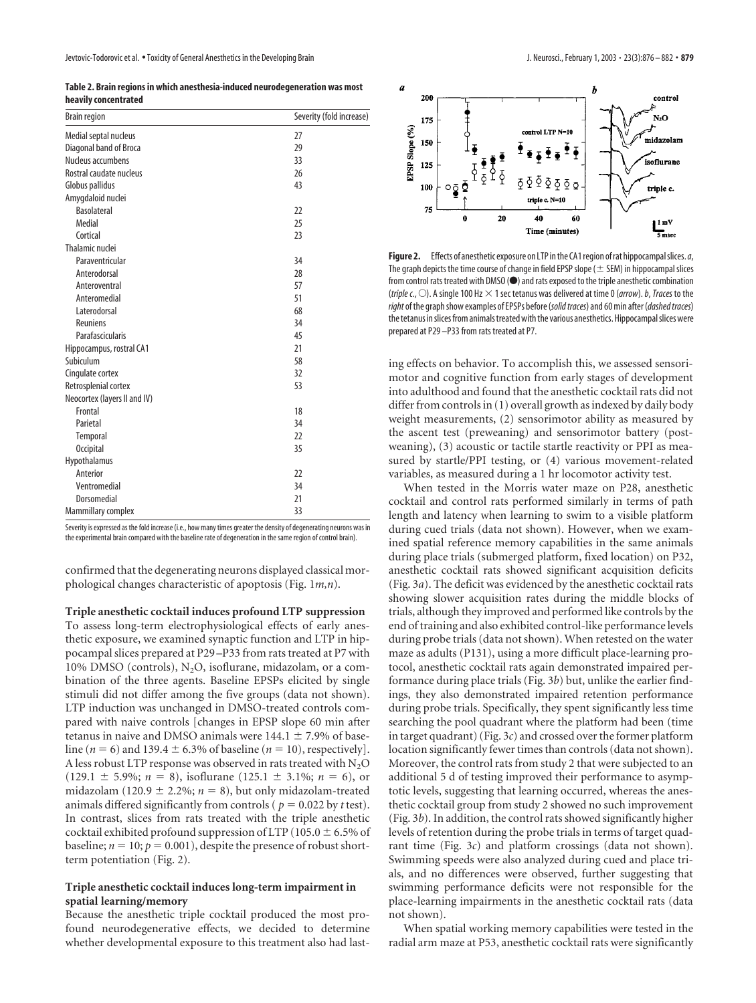**Table 2. Brain regions in which anesthesia-induced neurodegeneration was most heavily concentrated**

| <b>Brain region</b>          | Severity (fold increase) |
|------------------------------|--------------------------|
| Medial septal nucleus        | 27                       |
| Diagonal band of Broca       | 29                       |
| Nucleus accumbens            | 33                       |
| Rostral caudate nucleus      | 26                       |
| Globus pallidus              | 43                       |
| Amygdaloid nuclei            |                          |
| <b>Basolateral</b>           | 22                       |
| Medial                       | 25                       |
| Cortical                     | 23                       |
| Thalamic nuclei              |                          |
| Paraventricular              | 34                       |
| Anterodorsal                 | 28                       |
| Anteroventral                | 57                       |
| Anteromedial                 | 51                       |
| Laterodorsal                 | 68                       |
| <b>Reuniens</b>              | 34                       |
| Parafascicularis             | 45                       |
| Hippocampus, rostral CA1     | 21                       |
| Subiculum                    | 58                       |
| Cingulate cortex             | 32                       |
| Retrosplenial cortex         | 53                       |
| Neocortex (layers II and IV) |                          |
| Frontal                      | 18                       |
| Parietal                     | 34                       |
| Temporal                     | 22                       |
| <b>Occipital</b>             | 35                       |
| Hypothalamus                 |                          |
| Anterior                     | 22                       |
| Ventromedial                 | 34                       |
| Dorsomedial                  | 21                       |
| Mammillary complex           | 33                       |

Severity is expressed as the fold increase (i.e., how many times greater the density of degenerating neurons was in the experimental brain compared with the baseline rate of degeneration in the same region of control brain).

confirmed that the degenerating neurons displayed classical morphological changes characteristic of apoptosis (Fig. 1*m,n*).

**Triple anesthetic cocktail induces profound LTP suppression** To assess long-term electrophysiological effects of early anesthetic exposure, we examined synaptic function and LTP in hippocampal slices prepared at P29–P33 from rats treated at P7 with 10% DMSO (controls), N<sub>2</sub>O, isoflurane, midazolam, or a combination of the three agents. Baseline EPSPs elicited by single stimuli did not differ among the five groups (data not shown). LTP induction was unchanged in DMSO-treated controls compared with naive controls [changes in EPSP slope 60 min after tetanus in naive and DMSO animals were  $144.1 \pm 7.9\%$  of baseline ( $n = 6$ ) and 139.4  $\pm$  6.3% of baseline ( $n = 10$ ), respectively]. A less robust LTP response was observed in rats treated with  $N_2O$  $(129.1 \pm 5.9\%; n = 8)$ , isoflurane  $(125.1 \pm 3.1\%; n = 6)$ , or midazolam (120.9  $\pm$  2.2%; *n* = 8), but only midazolam-treated animals differed significantly from controls ( $p = 0.022$  by *t* test). In contrast, slices from rats treated with the triple anesthetic cocktail exhibited profound suppression of LTP (105.0  $\pm$  6.5% of baseline;  $n = 10$ ;  $p = 0.001$ ), despite the presence of robust shortterm potentiation (Fig. 2).

#### **Triple anesthetic cocktail induces long-term impairment in spatial learning/memory**

Because the anesthetic triple cocktail produced the most profound neurodegenerative effects, we decided to determine whether developmental exposure to this treatment also had last-



**Figure 2.** Effects of anesthetic exposure on LTP in the CA1 region of rat hippocampal slices.*a*, The graph depicts the time course of change in field EPSP slope ( $\pm$  SEM) in hippocampal slices from control rats treated with DMSO ( $\bullet$ ) and rats exposed to the triple anesthetic combination (*triple c.*, E). A single 100 Hz 1 sec tetanus was delivered at time 0 (*arrow*).*b*,*Traces* to the *right*of the graph show examples of EPSPs before (*solid traces*) and 60 min after (*dashed traces*) the tetanus in slices from animals treated with the various anesthetics. Hippocampal slices were prepared at P29 –P33 from rats treated at P7.

ing effects on behavior. To accomplish this, we assessed sensorimotor and cognitive function from early stages of development into adulthood and found that the anesthetic cocktail rats did not differ from controls in (1) overall growth as indexed by daily body weight measurements, (2) sensorimotor ability as measured by the ascent test (preweaning) and sensorimotor battery (postweaning), (3) acoustic or tactile startle reactivity or PPI as measured by startle/PPI testing, or (4) various movement-related variables, as measured during a 1 hr locomotor activity test.

When tested in the Morris water maze on P28, anesthetic cocktail and control rats performed similarly in terms of path length and latency when learning to swim to a visible platform during cued trials (data not shown). However, when we examined spatial reference memory capabilities in the same animals during place trials (submerged platform, fixed location) on P32, anesthetic cocktail rats showed significant acquisition deficits (Fig. 3*a*). The deficit was evidenced by the anesthetic cocktail rats showing slower acquisition rates during the middle blocks of trials, although they improved and performed like controls by the end of training and also exhibited control-like performance levels during probe trials (data not shown). When retested on the water maze as adults (P131), using a more difficult place-learning protocol, anesthetic cocktail rats again demonstrated impaired performance during place trials (Fig. 3*b*) but, unlike the earlier findings, they also demonstrated impaired retention performance during probe trials. Specifically, they spent significantly less time searching the pool quadrant where the platform had been (time in target quadrant) (Fig. 3*c*) and crossed over the former platform location significantly fewer times than controls (data not shown). Moreover, the control rats from study 2 that were subjected to an additional 5 d of testing improved their performance to asymptotic levels, suggesting that learning occurred, whereas the anesthetic cocktail group from study 2 showed no such improvement (Fig. 3*b*). In addition, the control rats showed significantly higher levels of retention during the probe trials in terms of target quadrant time (Fig. 3*c*) and platform crossings (data not shown). Swimming speeds were also analyzed during cued and place trials, and no differences were observed, further suggesting that swimming performance deficits were not responsible for the place-learning impairments in the anesthetic cocktail rats (data not shown).

When spatial working memory capabilities were tested in the radial arm maze at P53, anesthetic cocktail rats were significantly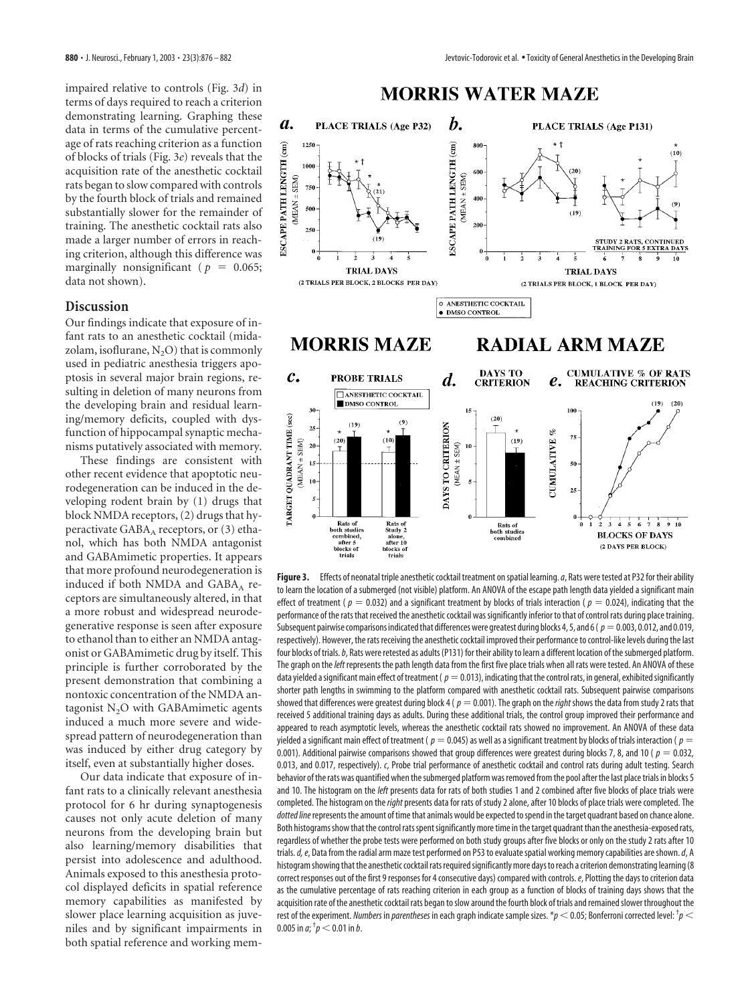impaired relative to controls (Fig. 3*d*) in terms of days required to reach a criterion demonstrating learning. Graphing these data in terms of the cumulative percentage of rats reaching criterion as a function of blocks of trials (Fig. 3*e*) reveals that the acquisition rate of the anesthetic cocktail rats began to slow compared with controls by the fourth block of trials and remained substantially slower for the remainder of training. The anesthetic cocktail rats also made a larger number of errors in reaching criterion, although this difference was marginally nonsignificant ( $p = 0.065$ ; data not shown).

# **Discussion**

Our findings indicate that exposure of infant rats to an anesthetic cocktail (midazolam, isoflurane,  $N_2O$ ) that is commonly used in pediatric anesthesia triggers apoptosis in several major brain regions, resulting in deletion of many neurons from the developing brain and residual learning/memory deficits, coupled with dysfunction of hippocampal synaptic mechanisms putatively associated with memory.

These findings are consistent with other recent evidence that apoptotic neurodegeneration can be induced in the developing rodent brain by (1) drugs that block NMDA receptors, (2) drugs that hyperactivate  $GABA_A$  receptors, or  $(3)$  ethanol, which has both NMDA antagonist and GABAmimetic properties. It appears that more profound neurodegeneration is induced if both NMDA and GABA<sub>A</sub> receptors are simultaneously altered, in that a more robust and widespread neurodegenerative response is seen after exposure to ethanol than to either an NMDA antagonist or GABAmimetic drug by itself. This principle is further corroborated by the present demonstration that combining a nontoxic concentration of the NMDA antagonist N<sub>2</sub>O with GABAmimetic agents induced a much more severe and widespread pattern of neurodegeneration than was induced by either drug category by itself, even at substantially higher doses.

Our data indicate that exposure of infant rats to a clinically relevant anesthesia protocol for 6 hr during synaptogenesis causes not only acute deletion of many neurons from the developing brain but also learning/memory disabilities that persist into adolescence and adulthood. Animals exposed to this anesthesia protocol displayed deficits in spatial reference memory capabilities as manifested by slower place learning acquisition as juveniles and by significant impairments in both spatial reference and working mem-



**Figure 3.** Effects of neonatal triple anesthetic cocktail treatment on spatial learning.*a*, Rats were tested at P32 for their ability to learn the location of a submerged (not visible) platform. An ANOVA of the escape path length data yielded a significant main effect of treatment ( $p = 0.032$ ) and a significant treatment by blocks of trials interaction ( $p = 0.024$ ), indicating that the performance of the rats that received the anesthetic cocktail was significantly inferior to that of control rats during place training. Subsequent pairwise comparisons indicated that differences were greatest during blocks 4, 5, and 6 ( $p=0.003$ , 0.012, and 0.019, respectively). However, the rats receiving the anesthetic cocktail improved their performance to control-like levels during the last four blocks of trials.*b*, Rats were retested as adults (P131) for their ability to learn a different location of the submerged platform. The graph on the*left* represents the path length data from the first five place trials when all rats were tested. An ANOVA of these data yielded a significant main effect of treatment ( $p=0.013$ ), indicating that the control rats, in general, exhibited significantly shorter path lengths in swimming to the platform compared with anesthetic cocktail rats. Subsequent pairwise comparisons showed that differences were greatest during block 4 ( $p = 0.001$ ). The graph on the *right* shows the data from study 2 rats that received 5 additional training days as adults. During these additional trials, the control group improved their performance and appeared to reach asymptotic levels, whereas the anesthetic cocktail rats showed no improvement. An ANOVA of these data yielded a significant main effect of treatment ( $p = 0.045$ ) as well as a significant treatment by blocks of trials interaction ( $p =$ 0.001). Additional pairwise comparisons showed that group differences were greatest during blocks 7, 8, and 10 ( $p = 0.032$ , 0.013, and 0.017, respectively). *c*, Probe trial performance of anesthetic cocktail and control rats during adult testing. Search behavior of the rats was quantified when the submerged platform was removed from the pool after the last place trials in blocks 5 and 10. The histogram on the *left* presents data for rats of both studies 1 and 2 combined after five blocks of place trials were completed. The histogram on the *right* presents data for rats of study 2 alone, after 10 blocks of place trials were completed. The *dotted line*represents the amount of time that animals would be expected to spend in the target quadrant based on chance alone. Both histograms show that the control rats spent significantly more time in the target quadrant than the anesthesia-exposed rats, regardless of whether the probe tests were performed on both study groups after five blocks or only on the study 2 rats after 10 trials.*d, e*, Data from the radial arm maze test performed on P53 to evaluate spatial working memory capabilities are shown.*d*, A histogram showing that the anesthetic cocktail rats required significantly more days to reach a criterion demonstrating learning (8 correct responses out of the first 9 responses for 4 consecutive days) compared with controls.*e*, Plotting the days to criterion data as the cumulative percentage of rats reaching criterion in each group as a function of blocks of training days shows that the acquisition rate of the anesthetic cocktail rats began to slow around the fourth block of trials and remained slower throughout the rest of the experiment. *Numbers* in *parentheses* in each graph indicate sample sizes. \* $p$  < 0.05; Bonferroni corrected level: <sup>†</sup> $p$  < 0.005 in *a*;  $^{\dagger}p$   $<$  0.01 in *b*.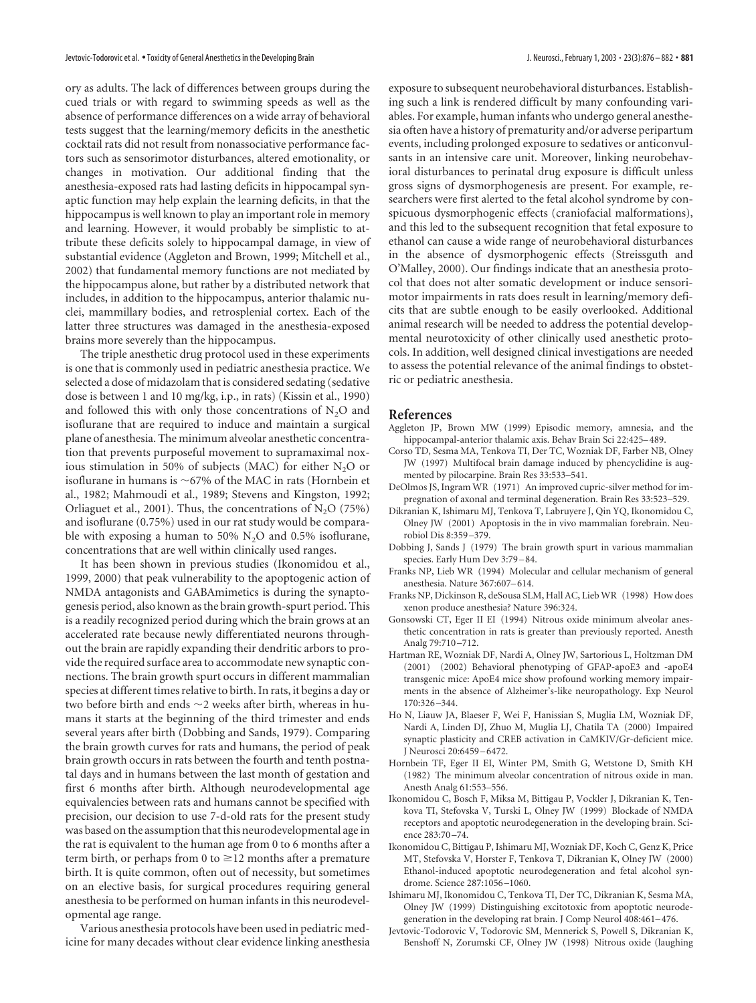ory as adults. The lack of differences between groups during the cued trials or with regard to swimming speeds as well as the absence of performance differences on a wide array of behavioral tests suggest that the learning/memory deficits in the anesthetic cocktail rats did not result from nonassociative performance factors such as sensorimotor disturbances, altered emotionality, or changes in motivation. Our additional finding that the anesthesia-exposed rats had lasting deficits in hippocampal synaptic function may help explain the learning deficits, in that the hippocampus is well known to play an important role in memory and learning. However, it would probably be simplistic to attribute these deficits solely to hippocampal damage, in view of substantial evidence (Aggleton and Brown, 1999; Mitchell et al., 2002) that fundamental memory functions are not mediated by the hippocampus alone, but rather by a distributed network that includes, in addition to the hippocampus, anterior thalamic nuclei, mammillary bodies, and retrosplenial cortex. Each of the latter three structures was damaged in the anesthesia-exposed brains more severely than the hippocampus.

The triple anesthetic drug protocol used in these experiments is one that is commonly used in pediatric anesthesia practice. We selected a dose of midazolam that is considered sedating (sedative dose is between 1 and 10 mg/kg, i.p., in rats) (Kissin et al., 1990) and followed this with only those concentrations of  $N_2O$  and isoflurane that are required to induce and maintain a surgical plane of anesthesia. The minimum alveolar anesthetic concentration that prevents purposeful movement to supramaximal noxious stimulation in 50% of subjects (MAC) for either  $N_2O$  or isoflurane in humans is  $\sim$  67% of the MAC in rats (Hornbein et al., 1982; Mahmoudi et al., 1989; Stevens and Kingston, 1992; Orliaguet et al., 2001). Thus, the concentrations of  $N_2O$  (75%) and isoflurane (0.75%) used in our rat study would be comparable with exposing a human to 50%  $N_2O$  and 0.5% isoflurane, concentrations that are well within clinically used ranges.

It has been shown in previous studies (Ikonomidou et al., 1999, 2000) that peak vulnerability to the apoptogenic action of NMDA antagonists and GABAmimetics is during the synaptogenesis period, also known as the brain growth-spurt period. This is a readily recognized period during which the brain grows at an accelerated rate because newly differentiated neurons throughout the brain are rapidly expanding their dendritic arbors to provide the required surface area to accommodate new synaptic connections. The brain growth spurt occurs in different mammalian species at different times relative to birth. In rats, it begins a day or two before birth and ends  $\sim$ 2 weeks after birth, whereas in humans it starts at the beginning of the third trimester and ends several years after birth (Dobbing and Sands, 1979). Comparing the brain growth curves for rats and humans, the period of peak brain growth occurs in rats between the fourth and tenth postnatal days and in humans between the last month of gestation and first 6 months after birth. Although neurodevelopmental age equivalencies between rats and humans cannot be specified with precision, our decision to use 7-d-old rats for the present study was based on the assumption that this neurodevelopmental age in the rat is equivalent to the human age from 0 to 6 months after a term birth, or perhaps from 0 to  $\geq$ 12 months after a premature birth. It is quite common, often out of necessity, but sometimes on an elective basis, for surgical procedures requiring general anesthesia to be performed on human infants in this neurodevelopmental age range.

Various anesthesia protocols have been used in pediatric medicine for many decades without clear evidence linking anesthesia exposure to subsequent neurobehavioral disturbances. Establishing such a link is rendered difficult by many confounding variables. For example, human infants who undergo general anesthesia often have a history of prematurity and/or adverse peripartum events, including prolonged exposure to sedatives or anticonvulsants in an intensive care unit. Moreover, linking neurobehavioral disturbances to perinatal drug exposure is difficult unless gross signs of dysmorphogenesis are present. For example, researchers were first alerted to the fetal alcohol syndrome by conspicuous dysmorphogenic effects (craniofacial malformations), and this led to the subsequent recognition that fetal exposure to ethanol can cause a wide range of neurobehavioral disturbances in the absence of dysmorphogenic effects (Streissguth and O'Malley, 2000). Our findings indicate that an anesthesia protocol that does not alter somatic development or induce sensorimotor impairments in rats does result in learning/memory deficits that are subtle enough to be easily overlooked. Additional animal research will be needed to address the potential developmental neurotoxicity of other clinically used anesthetic protocols. In addition, well designed clinical investigations are needed to assess the potential relevance of the animal findings to obstetric or pediatric anesthesia.

#### **References**

- Aggleton JP, Brown MW (1999) Episodic memory, amnesia, and the hippocampal-anterior thalamic axis. Behav Brain Sci 22:425–489.
- Corso TD, Sesma MA, Tenkova TI, Der TC, Wozniak DF, Farber NB, Olney JW (1997) Multifocal brain damage induced by phencyclidine is augmented by pilocarpine. Brain Res 33:533–541.
- DeOlmos JS, Ingram WR (1971) An improved cupric-silver method for impregnation of axonal and terminal degeneration. Brain Res 33:523–529.
- Dikranian K, Ishimaru MJ, Tenkova T, Labruyere J, Qin YQ, Ikonomidou C, Olney JW (2001) Apoptosis in the in vivo mammalian forebrain. Neurobiol Dis 8:359–379.
- Dobbing J, Sands J (1979) The brain growth spurt in various mammalian species. Early Hum Dev 3:79–84.
- Franks NP, Lieb WR (1994) Molecular and cellular mechanism of general anesthesia. Nature 367:607–614.
- Franks NP, Dickinson R, deSousa SLM, Hall AC, Lieb WR (1998) How does xenon produce anesthesia? Nature 396:324.
- Gonsowski CT, Eger II EI (1994) Nitrous oxide minimum alveolar anesthetic concentration in rats is greater than previously reported. Anesth Analg 79:710–712.
- Hartman RE, Wozniak DF, Nardi A, Olney JW, Sartorious L, Holtzman DM (2001) (2002) Behavioral phenotyping of GFAP-apoE3 and -apoE4 transgenic mice: ApoE4 mice show profound working memory impairments in the absence of Alzheimer's-like neuropathology. Exp Neurol 170:326–344.
- Ho N, Liauw JA, Blaeser F, Wei F, Hanissian S, Muglia LM, Wozniak DF, Nardi A, Linden DJ, Zhuo M, Muglia LJ, Chatila TA (2000) Impaired synaptic plasticity and CREB activation in CaMKIV/Gr-deficient mice. J Neurosci 20:6459–6472.
- Hornbein TF, Eger II EI, Winter PM, Smith G, Wetstone D, Smith KH (1982) The minimum alveolar concentration of nitrous oxide in man. Anesth Analg 61:553–556.
- Ikonomidou C, Bosch F, Miksa M, Bittigau P, Vockler J, Dikranian K, Tenkova TI, Stefovska V, Turski L, Olney JW (1999) Blockade of NMDA receptors and apoptotic neurodegeneration in the developing brain. Science 283:70–74.
- Ikonomidou C, Bittigau P, Ishimaru MJ, Wozniak DF, Koch C, Genz K, Price MT, Stefovska V, Horster F, Tenkova T, Dikranian K, Olney JW (2000) Ethanol-induced apoptotic neurodegeneration and fetal alcohol syndrome. Science 287:1056–1060.
- Ishimaru MJ, Ikonomidou C, Tenkova TI, Der TC, Dikranian K, Sesma MA, Olney JW (1999) Distinguishing excitotoxic from apoptotic neurodegeneration in the developing rat brain. J Comp Neurol 408:461–476.
- Jevtovic-Todorovic V, Todorovic SM, Mennerick S, Powell S, Dikranian K, Benshoff N, Zorumski CF, Olney JW (1998) Nitrous oxide (laughing